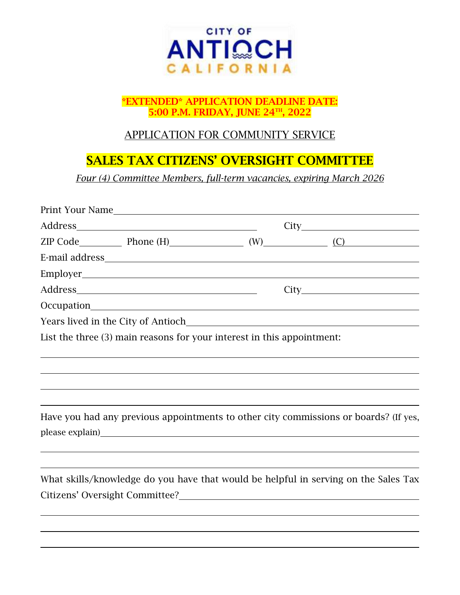

#### \*EXTENDED\* APPLICATION DEADLINE DATE: 5:00 P.M. FRIDAY, JUNE 24TH, 2022

### APPLICATION FOR COMMUNITY SERVICE

# SALES TAX CITIZENS' OVERSIGHT COMMITTEE

*Four (4) Committee Members, full-term vacancies, expiring March 2026*

|                                                                        |                                                                                                                        |  | $ZIP Code$ Phone (H) $(W)$ (W) $(C)$                                                                                                                           |  |
|------------------------------------------------------------------------|------------------------------------------------------------------------------------------------------------------------|--|----------------------------------------------------------------------------------------------------------------------------------------------------------------|--|
|                                                                        |                                                                                                                        |  |                                                                                                                                                                |  |
|                                                                        |                                                                                                                        |  |                                                                                                                                                                |  |
|                                                                        |                                                                                                                        |  |                                                                                                                                                                |  |
| Occupation                                                             | <u> 1980 - Johann Stoff, deutscher Stoffen und der Stoffen und der Stoffen und der Stoffen und der Stoffen und der</u> |  |                                                                                                                                                                |  |
| Years lived in the City of Antioch                                     |                                                                                                                        |  |                                                                                                                                                                |  |
| List the three (3) main reasons for your interest in this appointment: |                                                                                                                        |  |                                                                                                                                                                |  |
|                                                                        |                                                                                                                        |  |                                                                                                                                                                |  |
|                                                                        |                                                                                                                        |  | Have you had any previous appointments to other city commissions or boards? (If yes,                                                                           |  |
|                                                                        |                                                                                                                        |  | What skills/knowledge do you have that would be helpful in serving on the Sales Tax<br>Citizens' Oversight Committee?<br><u>Citizens' Oversight Committee?</u> |  |
|                                                                        |                                                                                                                        |  |                                                                                                                                                                |  |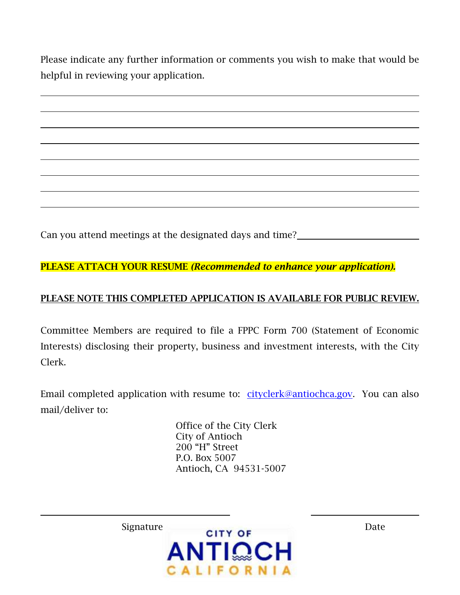Please indicate any further information or comments you wish to make that would be helpful in reviewing your application.

Can you attend meetings at the designated days and time?

PLEASE ATTACH YOUR RESUME *(Recommended to enhance your application).*

### PLEASE NOTE THIS COMPLETED APPLICATION IS AVAILABLE FOR PUBLIC REVIEW.

Committee Members are required to file a FPPC Form 700 (Statement of Economic Interests) disclosing their property, business and investment interests, with the City Clerk.

Email completed application with resume to: [cityclerk@antiochca.gov.](mailto:cityclerk@antiochca.gov) You can also mail/deliver to:

> Office of the City Clerk City of Antioch 200 "H" Street P.O. Box 5007 Antioch, CA 94531-5007